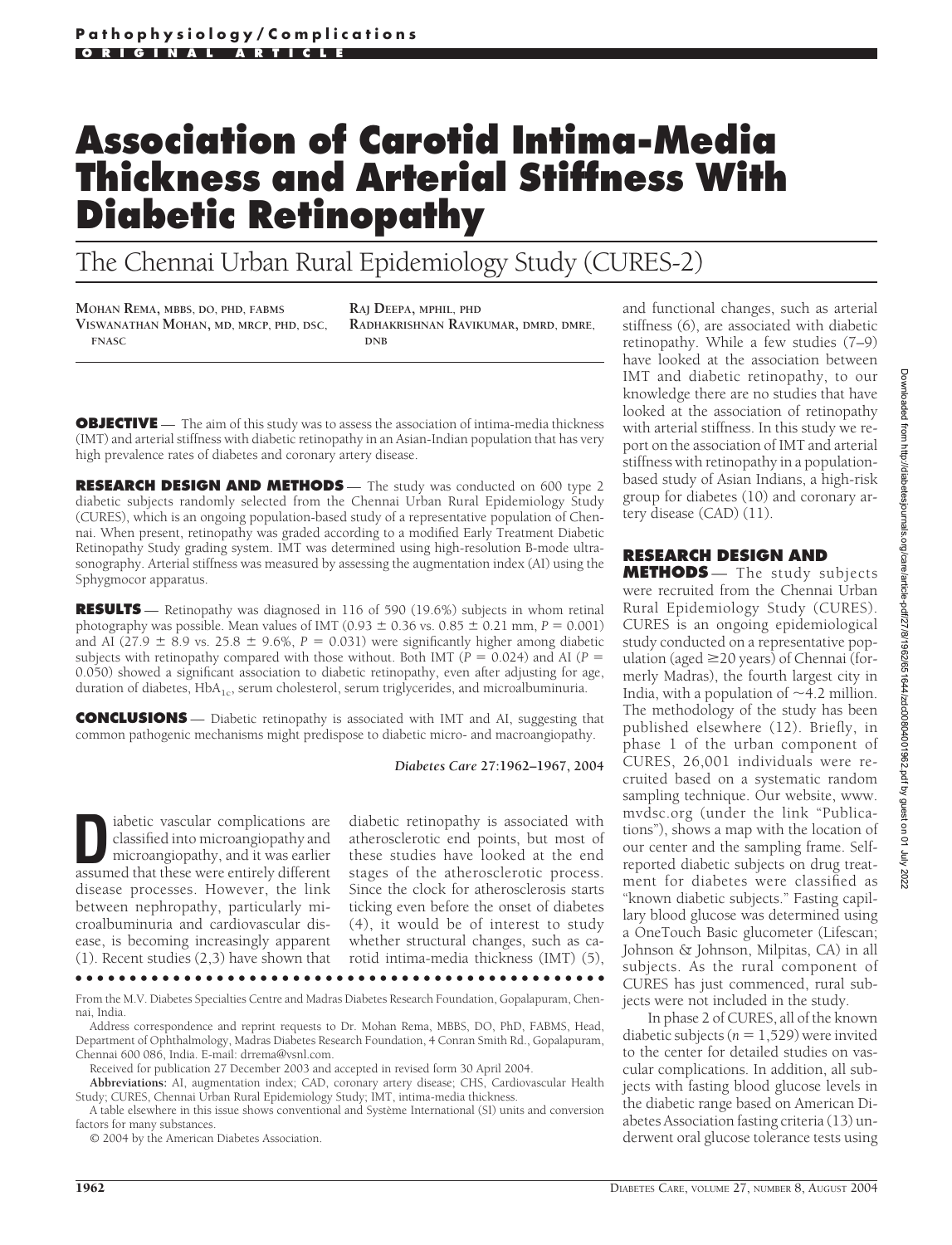# **Association of Carotid Intima-Media Thickness and Arterial Stiffness With Diabetic Retinopathy**

The Chennai Urban Rural Epidemiology Study (CURES-2)

**MOHAN REMA, MBBS, DO, PHD, FABMS VISWANATHAN MOHAN, MD, MRCP, PHD, DSC, FNASC**

**RAJ DEEPA, MPHIL, PHD RADHAKRISHNAN RAVIKUMAR, DMRD, DMRE, DNB**

**OBJECTIVE** — The aim of this study was to assess the association of intima-media thickness (IMT) and arterial stiffness with diabetic retinopathy in an Asian-Indian population that has very high prevalence rates of diabetes and coronary artery disease.

**RESEARCH DESIGN AND METHODS** - The study was conducted on 600 type 2 diabetic subjects randomly selected from the Chennai Urban Rural Epidemiology Study (CURES), which is an ongoing population-based study of a representative population of Chennai. When present, retinopathy was graded according to a modified Early Treatment Diabetic Retinopathy Study grading system. IMT was determined using high-resolution B-mode ultrasonography. Arterial stiffness was measured by assessing the augmentation index (AI) using the Sphygmocor apparatus.

**RESULTS** — Retinopathy was diagnosed in 116 of 590 (19.6%) subjects in whom retinal photography was possible. Mean values of IMT  $(0.93 \pm 0.36 \text{ vs. } 0.85 \pm 0.21 \text{ mm}, P = 0.001)$ and AI  $(27.9 \pm 8.9 \text{ vs. } 25.8 \pm 9.6\%, P = 0.031)$  were significantly higher among diabetic subjects with retinopathy compared with those without. Both IMT ( $P = 0.024$ ) and AI ( $P =$ 0.050) showed a significant association to diabetic retinopathy, even after adjusting for age, duration of diabetes,  $HbA_{1c}$ , serum cholesterol, serum triglycerides, and microalbuminuria.

**CONCLUSIONS** — Diabetic retinopathy is associated with IMT and AI, suggesting that common pathogenic mechanisms might predispose to diabetic micro- and macroangiopathy.

*Diabetes Care* **27:1962–1967, 2004**

**D**iabetic vascular complications are classified into microangiopathy and microangiopathy, and it was earlier<br>assumed that these were entirely different classified into microangiopathy and assumed that these were entirely different disease processes. However, the link between nephropathy, particularly microalbuminuria and cardiovascular disease, is becoming increasingly apparent (1). Recent studies (2,3) have shown that

diabetic retinopathy is associated with atherosclerotic end points, but most of these studies have looked at the end stages of the atherosclerotic process. Since the clock for atherosclerosis starts ticking even before the onset of diabetes (4), it would be of interest to study whether structural changes, such as carotid intima-media thickness (IMT) (5),

●●●●●●●●●●●●●●●●●●●●●●●●●●●●●●●●●●●●●●●●●●●●●●●●●

From the M.V. Diabetes Specialties Centre and Madras Diabetes Research Foundation, Gopalapuram, Chennai, India.

Address correspondence and reprint requests to Dr. Mohan Rema, MBBS, DO, PhD, FABMS, Head, Department of Ophthalmology, Madras Diabetes Research Foundation, 4 Conran Smith Rd., Gopalapuram, Chennai 600 086, India. E-mail: drrema@vsnl.com.

Received for publication 27 December 2003 and accepted in revised form 30 April 2004.

**Abbreviations:** AI, augmentation index; CAD, coronary artery disease; CHS, Cardiovascular Health Study; CURES, Chennai Urban Rural Epidemiology Study; IMT, intima-media thickness.

A table elsewhere in this issue shows conventional and Système International (SI) units and conversion factors for many substances.

© 2004 by the American Diabetes Association.

and functional changes, such as arterial stiffness (6), are associated with diabetic retinopathy. While a few studies (7–9) have looked at the association between IMT and diabetic retinopathy, to our knowledge there are no studies that have looked at the association of retinopathy with arterial stiffness. In this study we report on the association of IMT and arterial stiffness with retinopathy in a populationbased study of Asian Indians, a high-risk group for diabetes (10) and coronary artery disease (CAD) (11).

#### **RESEARCH DESIGN AND**

**METHODS** — The study subjects were recruited from the Chennai Urban Rural Epidemiology Study (CURES). CURES is an ongoing epidemiological study conducted on a representative population (aged  $\geq$  20 years) of Chennai (formerly Madras), the fourth largest city in India, with a population of  $\sim$ 4.2 million. The methodology of the study has been published elsewhere (12). Briefly, in phase 1 of the urban component of CURES, 26,001 individuals were recruited based on a systematic random sampling technique. Our website, www. mvdsc.org (under the link "Publications"), shows a map with the location of our center and the sampling frame. Selfreported diabetic subjects on drug treatment for diabetes were classified as "known diabetic subjects." Fasting capillary blood glucose was determined using a OneTouch Basic glucometer (Lifescan; Johnson & Johnson, Milpitas, CA) in all subjects. As the rural component of CURES has just commenced, rural subjects were not included in the study.

In phase 2 of CURES, all of the known diabetic subjects ( $n = 1,529$ ) were invited to the center for detailed studies on vascular complications. In addition, all subjects with fasting blood glucose levels in the diabetic range based on American Diabetes Association fasting criteria (13) underwent oral glucose tolerance tests using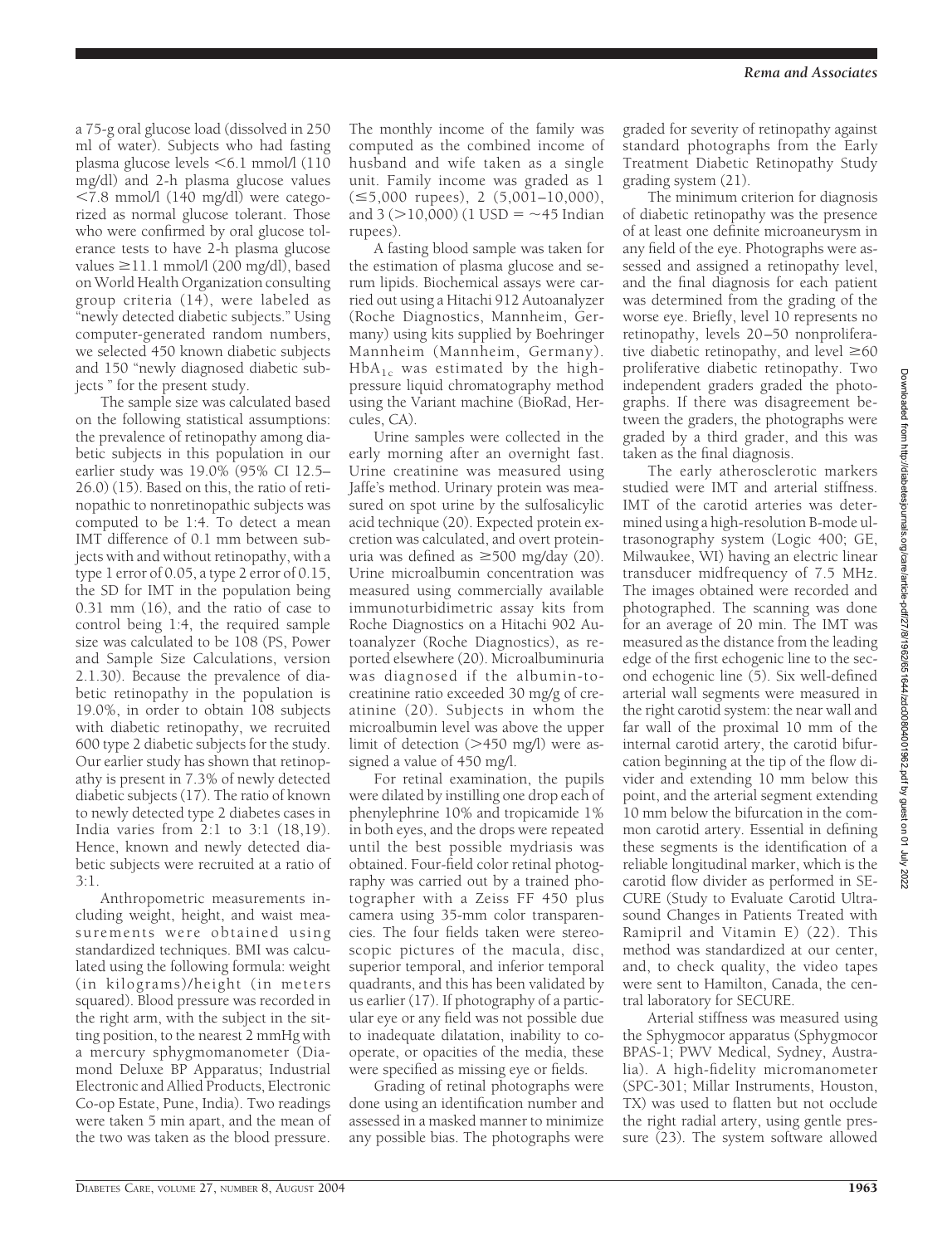a 75-g oral glucose load (dissolved in 250 ml of water). Subjects who had fasting plasma glucose levels  $\leq 6.1$  mmol/l (110) mg/dl) and 2-h plasma glucose values  $\langle 7.8 \text{ mmol/l} (140 \text{ mg/dl})$  were categorized as normal glucose tolerant. Those who were confirmed by oral glucose tolerance tests to have 2-h plasma glucose values  $\geq$ 11.1 mmol/l (200 mg/dl), based on World Health Organization consulting group criteria (14), were labeled as "newly detected diabetic subjects." Using computer-generated random numbers, we selected 450 known diabetic subjects and 150 "newly diagnosed diabetic subjects " for the present study.

The sample size was calculated based on the following statistical assumptions: the prevalence of retinopathy among diabetic subjects in this population in our earlier study was 19.0% (95% CI 12.5– 26.0) (15). Based on this, the ratio of retinopathic to nonretinopathic subjects was computed to be 1:4. To detect a mean IMT difference of 0.1 mm between subjects with and without retinopathy, with a type 1 error of 0.05, a type 2 error of 0.15, the SD for IMT in the population being 0.31 mm (16), and the ratio of case to control being 1:4, the required sample size was calculated to be 108 (PS, Power and Sample Size Calculations, version 2.1.30). Because the prevalence of diabetic retinopathy in the population is 19.0%, in order to obtain 108 subjects with diabetic retinopathy, we recruited 600 type 2 diabetic subjects for the study. Our earlier study has shown that retinopathy is present in 7.3% of newly detected diabetic subjects (17). The ratio of known to newly detected type 2 diabetes cases in India varies from 2:1 to 3:1 (18,19). Hence, known and newly detected diabetic subjects were recruited at a ratio of 3:1.

Anthropometric measurements including weight, height, and waist measurements were obtained using standardized techniques. BMI was calculated using the following formula: weight (in kilograms)/height (in meters squared). Blood pressure was recorded in the right arm, with the subject in the sitting position, to the nearest 2 mmHg with a mercury sphygmomanometer (Diamond Deluxe BP Apparatus; Industrial Electronic and Allied Products, Electronic Co-op Estate, Pune, India). Two readings were taken 5 min apart, and the mean of the two was taken as the blood pressure.

The monthly income of the family was computed as the combined income of husband and wife taken as a single unit. Family income was graded as 1  $(\leq 5,000$  rupees), 2  $(5,001-10,000)$ , and 3 ( $>$ 10,000) (1 USD =  $\sim$ 45 Indian rupees).

A fasting blood sample was taken for the estimation of plasma glucose and serum lipids. Biochemical assays were carried out using a Hitachi 912 Autoanalyzer (Roche Diagnostics, Mannheim, Germany) using kits supplied by Boehringer Mannheim (Mannheim, Germany).  $HbA_{1c}$  was estimated by the highpressure liquid chromatography method using the Variant machine (BioRad, Hercules, CA).

Urine samples were collected in the early morning after an overnight fast. Urine creatinine was measured using Jaffe's method. Urinary protein was measured on spot urine by the sulfosalicylic acid technique (20). Expected protein excretion was calculated, and overt proteinuria was defined as  $\geq 500$  mg/day (20). Urine microalbumin concentration was measured using commercially available immunoturbidimetric assay kits from Roche Diagnostics on a Hitachi 902 Autoanalyzer (Roche Diagnostics), as reported elsewhere (20). Microalbuminuria was diagnosed if the albumin-tocreatinine ratio exceeded 30 mg/g of creatinine (20). Subjects in whom the microalbumin level was above the upper limit of detection  $(>450 \text{ mg/l})$  were assigned a value of 450 mg/l.

For retinal examination, the pupils were dilated by instilling one drop each of phenylephrine 10% and tropicamide 1% in both eyes, and the drops were repeated until the best possible mydriasis was obtained. Four-field color retinal photography was carried out by a trained photographer with a Zeiss FF 450 plus camera using 35-mm color transparencies. The four fields taken were stereoscopic pictures of the macula, disc, superior temporal, and inferior temporal quadrants, and this has been validated by us earlier (17). If photography of a particular eye or any field was not possible due to inadequate dilatation, inability to cooperate, or opacities of the media, these were specified as missing eye or fields.

Grading of retinal photographs were done using an identification number and assessed in a masked manner to minimize any possible bias. The photographs were

graded for severity of retinopathy against standard photographs from the Early Treatment Diabetic Retinopathy Study grading system (21).

The minimum criterion for diagnosis of diabetic retinopathy was the presence of at least one definite microaneurysm in any field of the eye. Photographs were assessed and assigned a retinopathy level, and the final diagnosis for each patient was determined from the grading of the worse eye. Briefly, level 10 represents no retinopathy, levels 20–50 nonproliferative diabetic retinopathy, and level  $\geq 60$ proliferative diabetic retinopathy. Two independent graders graded the photographs. If there was disagreement between the graders, the photographs were graded by a third grader, and this was taken as the final diagnosis.

The early atherosclerotic markers studied were IMT and arterial stiffness. IMT of the carotid arteries was determined using a high-resolution B-mode ultrasonography system (Logic 400; GE, Milwaukee, WI) having an electric linear transducer midfrequency of 7.5 MHz. The images obtained were recorded and photographed. The scanning was done for an average of 20 min. The IMT was measured as the distance from the leading edge of the first echogenic line to the second echogenic line (5). Six well-defined arterial wall segments were measured in the right carotid system: the near wall and far wall of the proximal 10 mm of the internal carotid artery, the carotid bifurcation beginning at the tip of the flow divider and extending 10 mm below this point, and the arterial segment extending 10 mm below the bifurcation in the common carotid artery. Essential in defining these segments is the identification of a reliable longitudinal marker, which is the carotid flow divider as performed in SE-CURE (Study to Evaluate Carotid Ultrasound Changes in Patients Treated with Ramipril and Vitamin E) (22). This method was standardized at our center, and, to check quality, the video tapes were sent to Hamilton, Canada, the central laboratory for SECURE.

Arterial stiffness was measured using the Sphygmocor apparatus (Sphygmocor BPAS-1; PWV Medical, Sydney, Australia). A high-fidelity micromanometer (SPC-301; Millar Instruments, Houston, TX) was used to flatten but not occlude the right radial artery, using gentle pressure (23). The system software allowed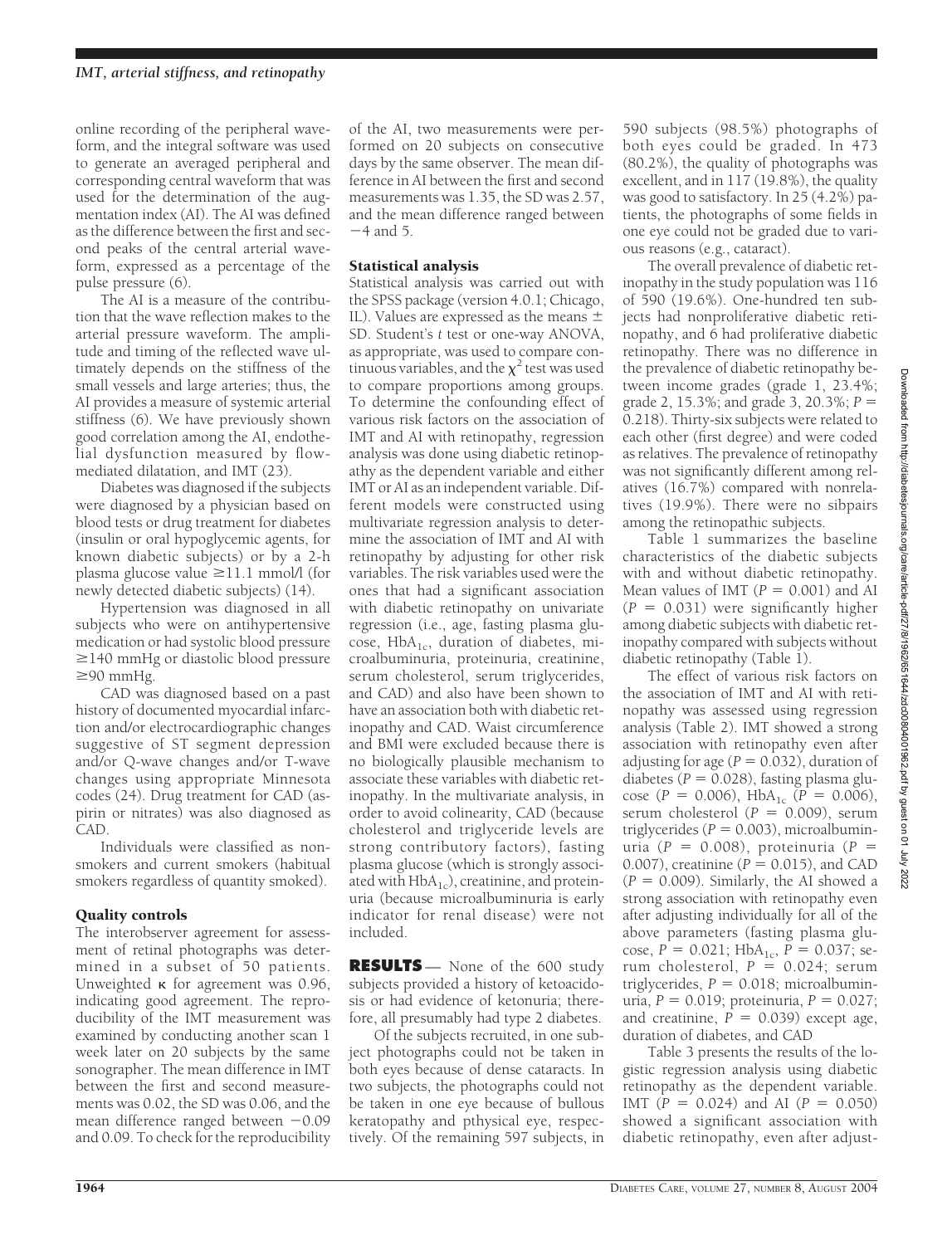online recording of the peripheral waveform, and the integral software was used to generate an averaged peripheral and corresponding central waveform that was used for the determination of the augmentation index (AI). The AI was defined as the difference between the first and second peaks of the central arterial waveform, expressed as a percentage of the pulse pressure (6).

The AI is a measure of the contribution that the wave reflection makes to the arterial pressure waveform. The amplitude and timing of the reflected wave ultimately depends on the stiffness of the small vessels and large arteries; thus, the AI provides a measure of systemic arterial stiffness (6). We have previously shown good correlation among the AI, endothelial dysfunction measured by flowmediated dilatation, and IMT (23).

Diabetes was diagnosed if the subjects were diagnosed by a physician based on blood tests or drug treatment for diabetes (insulin or oral hypoglycemic agents, for known diabetic subjects) or by a 2-h plasma glucose value  $\geq$ 11.1 mmol/l (for newly detected diabetic subjects) (14).

Hypertension was diagnosed in all subjects who were on antihypertensive medication or had systolic blood pressure  $\geq$ 140 mmHg or diastolic blood pressure  $\geq$ 90 mmHg.

CAD was diagnosed based on a past history of documented myocardial infarction and/or electrocardiographic changes suggestive of ST segment depression and/or Q-wave changes and/or T-wave changes using appropriate Minnesota codes (24). Drug treatment for CAD (aspirin or nitrates) was also diagnosed as CAD.

Individuals were classified as nonsmokers and current smokers (habitual smokers regardless of quantity smoked).

### Quality controls

The interobserver agreement for assessment of retinal photographs was determined in a subset of 50 patients. Unweighted  $\kappa$  for agreement was 0.96, indicating good agreement. The reproducibility of the IMT measurement was examined by conducting another scan 1 week later on 20 subjects by the same sonographer. The mean difference in IMT between the first and second measurements was 0.02, the SD was 0.06, and the mean difference ranged between  $-0.09$ and 0.09. To check for the reproducibility of the AI, two measurements were performed on 20 subjects on consecutive days by the same observer. The mean difference in AI between the first and second measurements was 1.35, the SD was 2.57, and the mean difference ranged between  $-4$  and 5.

### Statistical analysis

Statistical analysis was carried out with the SPSS package (version 4.0.1; Chicago, IL). Values are expressed as the means  $\pm$ SD. Student's *t* test or one-way ANOVA, as appropriate, was used to compare continuous variables, and the  $\chi^2$  test was used to compare proportions among groups. To determine the confounding effect of various risk factors on the association of IMT and AI with retinopathy, regression analysis was done using diabetic retinopathy as the dependent variable and either IMT or AI as an independent variable. Different models were constructed using multivariate regression analysis to determine the association of IMT and AI with retinopathy by adjusting for other risk variables. The risk variables used were the ones that had a significant association with diabetic retinopathy on univariate regression (i.e., age, fasting plasma glucose,  $HbA_{1c}$ , duration of diabetes, microalbuminuria, proteinuria, creatinine, serum cholesterol, serum triglycerides, and CAD) and also have been shown to have an association both with diabetic retinopathy and CAD. Waist circumference and BMI were excluded because there is no biologically plausible mechanism to associate these variables with diabetic retinopathy. In the multivariate analysis, in order to avoid colinearity, CAD (because cholesterol and triglyceride levels are strong contributory factors), fasting plasma glucose (which is strongly associated with  $HbA_{1c}$ , creatinine, and proteinuria (because microalbuminuria is early indicator for renal disease) were not included.

**RESULTS** — None of the 600 study subjects provided a history of ketoacidosis or had evidence of ketonuria; therefore, all presumably had type 2 diabetes.

Of the subjects recruited, in one subject photographs could not be taken in both eyes because of dense cataracts. In two subjects, the photographs could not be taken in one eye because of bullous keratopathy and pthysical eye, respectively. Of the remaining 597 subjects, in

590 subjects (98.5%) photographs of both eyes could be graded. In 473 (80.2%), the quality of photographs was excellent, and in 117 (19.8%), the quality was good to satisfactory. In 25 (4.2%) patients, the photographs of some fields in one eye could not be graded due to various reasons (e.g., cataract).

The overall prevalence of diabetic retinopathy in the study population was 116 of 590 (19.6%). One-hundred ten subjects had nonproliferative diabetic retinopathy, and 6 had proliferative diabetic retinopathy. There was no difference in the prevalence of diabetic retinopathy between income grades (grade 1, 23.4%; grade 2, 15.3%; and grade 3, 20.3%; *P* - 0.218). Thirty-six subjects were related to each other (first degree) and were coded as relatives. The prevalence of retinopathy was not significantly different among relatives (16.7%) compared with nonrelatives (19.9%). There were no sibpairs among the retinopathic subjects.

Table 1 summarizes the baseline characteristics of the diabetic subjects with and without diabetic retinopathy. Mean values of IMT  $(P = 0.001)$  and AI  $(P = 0.031)$  were significantly higher among diabetic subjects with diabetic retinopathy compared with subjects without diabetic retinopathy (Table 1).

The effect of various risk factors on the association of IMT and AI with retinopathy was assessed using regression analysis (Table 2). IMT showed a strong association with retinopathy even after adjusting for age  $(P = 0.032)$ , duration of diabetes ( $P = 0.028$ ), fasting plasma glu- $\csc(P = 0.006)$ , HbA<sub>1c</sub> (*P* = 0.006),  $serum$  cholesterol ( $P = 0.009$ ), serum triglycerides  $(P = 0.003)$ , microalbuminuria ( $P = 0.008$ ), proteinuria ( $P =$ 0.007), creatinine  $(P = 0.015)$ , and CAD  $(P = 0.009)$ . Similarly, the AI showed a strong association with retinopathy even after adjusting individually for all of the above parameters (fasting plasma glucose,  $P = 0.021$ ; HbA<sub>1c</sub>,  $P = 0.037$ ; serum cholesterol,  $P = 0.024$ ; serum triglycerides,  $P = 0.018$ ; microalbuminuria,  $P = 0.019$ ; proteinuria,  $P = 0.027$ ; and creatinine,  $P = 0.039$  except age, duration of diabetes, and CAD

Table 3 presents the results of the logistic regression analysis using diabetic retinopathy as the dependent variable. IMT  $(P = 0.024)$  and AI  $(P = 0.050)$ showed a significant association with diabetic retinopathy, even after adjust-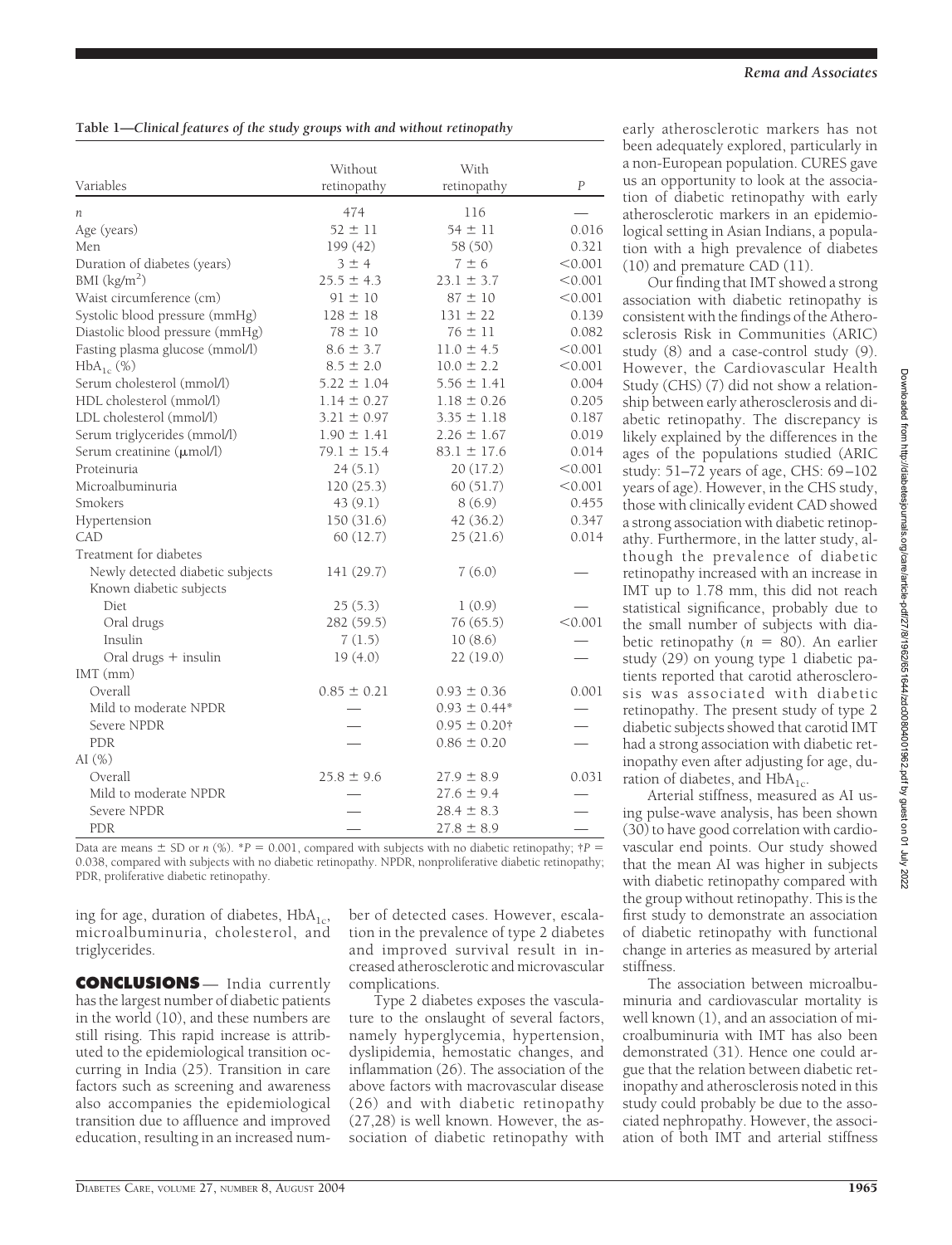## **Table 1—***Clinical features of the study groups with and without retinopathy*

|                                  | Without         | With              |                  |
|----------------------------------|-----------------|-------------------|------------------|
| Variables                        | retinopathy     | retinopathy       | $\boldsymbol{P}$ |
| n                                | 474             | 116               |                  |
| Age (years)                      | $52 \pm 11$     | $54 \pm 11$       | 0.016            |
| Men                              | 199 (42)        | 58 (50)           | 0.321            |
| Duration of diabetes (years)     | 3±4             | $7 \pm 6$         | < 0.001          |
| BMI $(kg/m2)$                    | $25.5 \pm 4.3$  | $23.1 \pm 3.7$    | < 0.001          |
| Waist circumference (cm)         | $91 \pm 10$     | $87 \pm 10$       | < 0.001          |
| Systolic blood pressure (mmHg)   | $128 \pm 18$    | $131 \pm 22$      | 0.139            |
| Diastolic blood pressure (mmHg)  | $78 \pm 10$     | $76 \pm 11$       | 0.082            |
| Fasting plasma glucose (mmol/l)  | $8.6 \pm 3.7$   | $11.0 \pm 4.5$    | < 0.001          |
| $HbA_{1c}$ (%)                   | $8.5 \pm 2.0$   | $10.0 \pm 2.2$    | < 0.001          |
| Serum cholesterol (mmol/l)       | $5.22 \pm 1.04$ | $5.56 \pm 1.41$   | 0.004            |
| HDL cholesterol (mmol/l)         | $1.14 \pm 0.27$ | $1.18 \pm 0.26$   | 0.205            |
| LDL cholesterol (mmol/l)         | $3.21 \pm 0.97$ | $3.35 \pm 1.18$   | 0.187            |
| Serum triglycerides (mmol/l)     | $1.90 \pm 1.41$ | $2.26 \pm 1.67$   | 0.019            |
| Serum creatinine (µmol/l)        | $79.1 \pm 15.4$ | $83.1 \pm 17.6$   | 0.014            |
| Proteinuria                      | 24(5.1)         | 20(17.2)          | < 0.001          |
| Microalbuminuria                 | 120(25.3)       | 60(51.7)          | < 0.001          |
| Smokers                          | 43(9.1)         | 8(6.9)            | 0.455            |
| Hypertension                     | 150 (31.6)      | 42(36.2)          | 0.347            |
| CAD                              | 60 (12.7)       | 25(21.6)          | 0.014            |
| Treatment for diabetes           |                 |                   |                  |
| Newly detected diabetic subjects | 141 (29.7)      | 7(6.0)            |                  |
| Known diabetic subjects          |                 |                   |                  |
| Diet                             | 25(5.3)         | 1(0.9)            |                  |
| Oral drugs                       | 282 (59.5)      | 76(65.5)          | < 0.001          |
| Insulin                          | 7(1.5)          | 10(8.6)           |                  |
| Oral drugs + insulin             | 19(4.0)         | 22(19.0)          |                  |
| $IMT$ (mm)                       |                 |                   |                  |
| Overall                          | $0.85 \pm 0.21$ | $0.93 \pm 0.36$   | 0.001            |
| Mild to moderate NPDR            |                 | $0.93 \pm 0.44*$  |                  |
| Severe NPDR                      |                 | $0.95 \pm 0.20$ † |                  |
| <b>PDR</b>                       |                 | $0.86 \pm 0.20$   |                  |
| AI $(\%)$                        |                 |                   |                  |
| Overall                          | $25.8 \pm 9.6$  | $27.9 \pm 8.9$    | 0.031            |
| Mild to moderate NPDR            |                 | $27.6 \pm 9.4$    |                  |
| Severe NPDR                      |                 | $28.4 \pm 8.3$    |                  |
| <b>PDR</b>                       |                 | $27.8 \pm 8.9$    |                  |

Data are means  $\pm$  SD or *n* (%). \**P* = 0.001, compared with subjects with no diabetic retinopathy;  $\uparrow$  *P* = 0.038, compared with subjects with no diabetic retinopathy. NPDR, nonproliferative diabetic retinopathy; PDR, proliferative diabetic retinopathy.

ing for age, duration of diabetes,  $HbA_{1c}$ , microalbuminuria, cholesterol, and triglycerides.

**CONCLUSIONS** — India currently has the largest number of diabetic patients in the world (10), and these numbers are still rising. This rapid increase is attributed to the epidemiological transition occurring in India (25). Transition in care factors such as screening and awareness also accompanies the epidemiological transition due to affluence and improved education, resulting in an increased num-

ber of detected cases. However, escalation in the prevalence of type 2 diabetes and improved survival result in increased atherosclerotic and microvascular complications.

Type 2 diabetes exposes the vasculature to the onslaught of several factors, namely hyperglycemia, hypertension, dyslipidemia, hemostatic changes, and inflammation (26). The association of the above factors with macrovascular disease (26) and with diabetic retinopathy (27,28) is well known. However, the association of diabetic retinopathy with

early atherosclerotic markers has not been adequately explored, particularly in a non-European population. CURES gave us an opportunity to look at the association of diabetic retinopathy with early atherosclerotic markers in an epidemiological setting in Asian Indians, a population with a high prevalence of diabetes (10) and premature CAD (11).

Our finding that IMT showed a strong association with diabetic retinopathy is consistent with the findings of the Atherosclerosis Risk in Communities (ARIC) study (8) and a case-control study (9). However, the Cardiovascular Health Study (CHS) (7) did not show a relationship between early atherosclerosis and diabetic retinopathy. The discrepancy is likely explained by the differences in the ages of the populations studied (ARIC study: 51–72 years of age, CHS: 69–102 years of age). However, in the CHS study, those with clinically evident CAD showed a strong association with diabetic retinopathy. Furthermore, in the latter study, although the prevalence of diabetic retinopathy increased with an increase in IMT up to 1.78 mm, this did not reach statistical significance, probably due to the small number of subjects with diabetic retinopathy  $(n = 80)$ . An earlier study (29) on young type 1 diabetic patients reported that carotid atherosclerosis was associated with diabetic retinopathy. The present study of type 2 diabetic subjects showed that carotid IMT had a strong association with diabetic retinopathy even after adjusting for age, duration of diabetes, and  $HbA_{1c}$ .

Arterial stiffness, measured as AI using pulse-wave analysis, has been shown (30) to have good correlation with cardiovascular end points. Our study showed that the mean AI was higher in subjects with diabetic retinopathy compared with the group without retinopathy. This is the first study to demonstrate an association of diabetic retinopathy with functional change in arteries as measured by arterial stiffness.

The association between microalbuminuria and cardiovascular mortality is well known (1), and an association of microalbuminuria with IMT has also been demonstrated (31). Hence one could argue that the relation between diabetic retinopathy and atherosclerosis noted in this study could probably be due to the associated nephropathy. However, the association of both IMT and arterial stiffness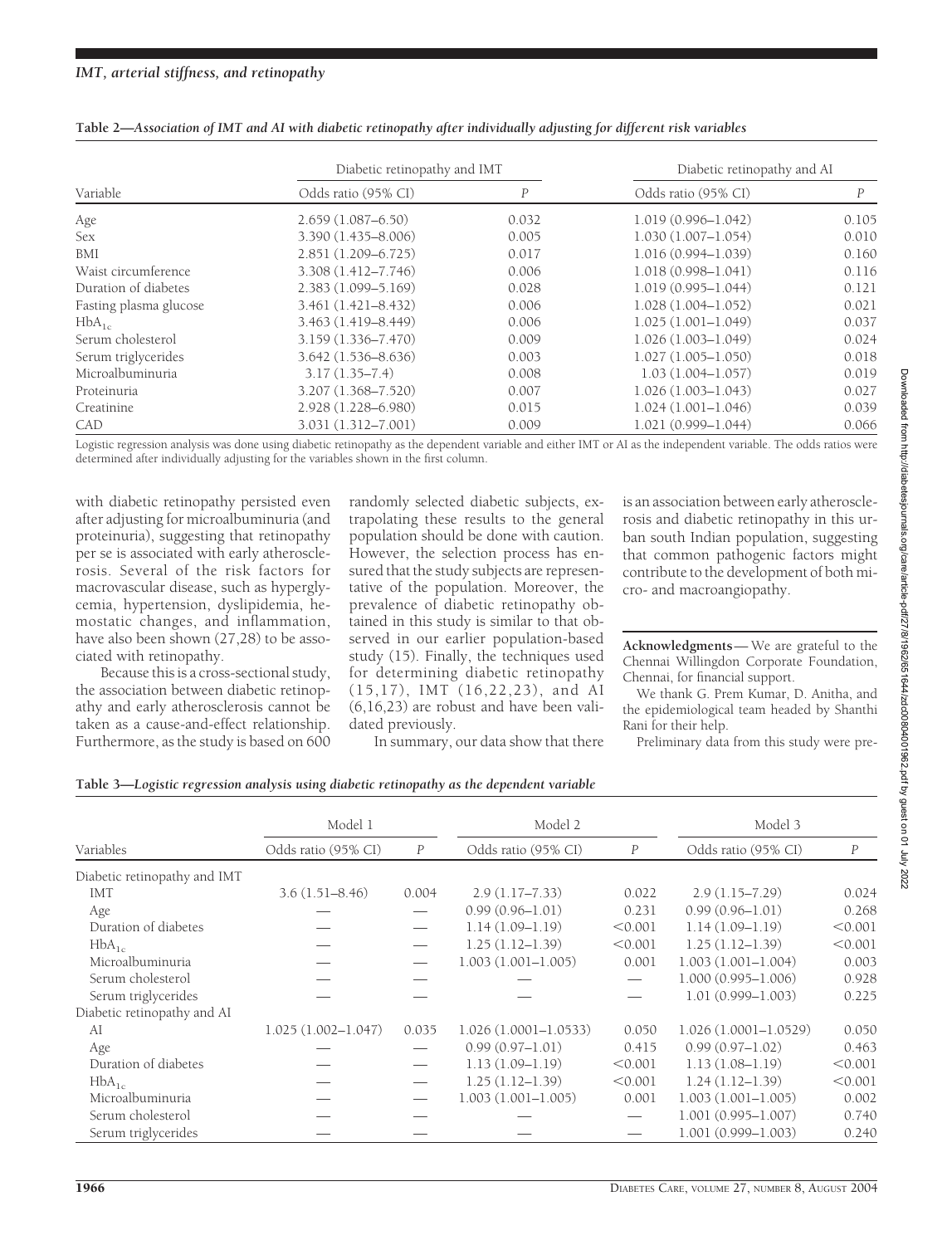| Variable               | Diabetic retinopathy and IMT |       | Diabetic retinopathy and AI |       |  |
|------------------------|------------------------------|-------|-----------------------------|-------|--|
|                        | Odds ratio (95% CI)          | P     | Odds ratio (95% CI)         | P     |  |
| Age                    | $2.659(1.087 - 6.50)$        | 0.032 | $1.019(0.996 - 1.042)$      | 0.105 |  |
| Sex                    | 3.390 (1.435-8.006)          | 0.005 | $1.030(1.007 - 1.054)$      | 0.010 |  |
| BMI                    | $2.851(1.209 - 6.725)$       | 0.017 | $1.016(0.994 - 1.039)$      | 0.160 |  |
| Waist circumference    | 3.308 (1.412-7.746)          | 0.006 | $1.018(0.998 - 1.041)$      | 0.116 |  |
| Duration of diabetes   | 2.383 (1.099-5.169)          | 0.028 | $1.019(0.995 - 1.044)$      | 0.121 |  |
| Fasting plasma glucose | $3.461(1.421 - 8.432)$       | 0.006 | $1.028(1.004 - 1.052)$      | 0.021 |  |
| $HbA_{1c}$             | 3.463 (1.419-8.449)          | 0.006 | $1.025(1.001 - 1.049)$      | 0.037 |  |
| Serum cholesterol      | 3.159 (1.336-7.470)          | 0.009 | $1.026(1.003 - 1.049)$      | 0.024 |  |
| Serum triglycerides    | $3.642(1.536 - 8.636)$       | 0.003 | $1.027(1.005 - 1.050)$      | 0.018 |  |
| Microalbuminuria       | $3.17(1.35 - 7.4)$           | 0.008 | $1.03(1.004 - 1.057)$       | 0.019 |  |
| Proteinuria            | 3.207 (1.368-7.520)          | 0.007 | $1.026(1.003 - 1.043)$      | 0.027 |  |
| Creatinine             | 2.928 (1.228-6.980)          | 0.015 | $1.024(1.001 - 1.046)$      | 0.039 |  |
| CAD                    | 3.031 (1.312-7.001)          | 0.009 | $1.021(0.999 - 1.044)$      | 0.066 |  |

| Table 2—Association of IMT and AI with diabetic retinopathy after individually adjusting for different risk variables |  |  |
|-----------------------------------------------------------------------------------------------------------------------|--|--|
|-----------------------------------------------------------------------------------------------------------------------|--|--|

Logistic regression analysis was done using diabetic retinopathy as the dependent variable and either IMT or AI as the independent variable. The odds ratios were determined after individually adjusting for the variables shown in the first column.

with diabetic retinopathy persisted even after adjusting for microalbuminuria (and proteinuria), suggesting that retinopathy per se is associated with early atherosclerosis. Several of the risk factors for macrovascular disease, such as hyperglycemia, hypertension, dyslipidemia, hemostatic changes, and inflammation, have also been shown (27,28) to be associated with retinopathy.

Because this is a cross-sectional study, the association between diabetic retinopathy and early atherosclerosis cannot be taken as a cause-and-effect relationship. Furthermore, as the study is based on  $600$  randomly selected diabetic subjects, extrapolating these results to the general population should be done with caution. However, the selection process has ensured that the study subjects are representative of the population. Moreover, the prevalence of diabetic retinopathy obtained in this study is similar to that observed in our earlier population-based study (15). Finally, the techniques used for determining diabetic retinopathy (15,17), IMT (16,22,23), and AI (6,16,23) are robust and have been validated previously.

In summary, our data show that there

is an association between early atherosclerosis and diabetic retinopathy in this urban south Indian population, suggesting that common pathogenic factors might contribute to the development of both micro- and macroangiopathy.

**Acknowledgments**— We are grateful to the Chennai Willingdon Corporate Foundation, Chennai, for financial support.

We thank G. Prem Kumar, D. Anitha, and the epidemiological team headed by Shanthi Rani for their help.

Preliminary data from this study were pre-

#### **Table 3—***Logistic regression analysis using diabetic retinopathy as the dependent variable*

|                              | Model 1                |                  | Model 2                  |                  | Model 3                  |                  |
|------------------------------|------------------------|------------------|--------------------------|------------------|--------------------------|------------------|
| Variables                    | Odds ratio (95% CI)    | $\boldsymbol{P}$ | Odds ratio (95% CI)      | $\boldsymbol{P}$ | Odds ratio (95% CI)      | $\boldsymbol{P}$ |
| Diabetic retinopathy and IMT |                        |                  |                          |                  |                          |                  |
| <b>IMT</b>                   | $3.6(1.51 - 8.46)$     | 0.004            | $2.9(1.17 - 7.33)$       | 0.022            | $2.9(1.15 - 7.29)$       | 0.024            |
| Age                          |                        |                  | $0.99(0.96 - 1.01)$      | 0.231            | $0.99(0.96 - 1.01)$      | 0.268            |
| Duration of diabetes         |                        |                  | $1.14(1.09-1.19)$        | < 0.001          | $1.14(1.09-1.19)$        | < 0.001          |
| $HbA_{1c}$                   |                        |                  | $1.25(1.12 - 1.39)$      | < 0.001          | $1.25(1.12 - 1.39)$      | < 0.001          |
| Microalbuminuria             |                        |                  | $1.003(1.001 - 1.005)$   | 0.001            | $1.003(1.001 - 1.004)$   | 0.003            |
| Serum cholesterol            |                        |                  |                          |                  | $1.000(0.995 - 1.006)$   | 0.928            |
| Serum triglycerides          |                        |                  |                          |                  | $1.01(0.999 - 1.003)$    | 0.225            |
| Diabetic retinopathy and AI  |                        |                  |                          |                  |                          |                  |
| AI                           | $1.025(1.002 - 1.047)$ | 0.035            | $1.026(1.0001 - 1.0533)$ | 0.050            | $1.026(1.0001 - 1.0529)$ | 0.050            |
| Age                          |                        |                  | $0.99(0.97-1.01)$        | 0.415            | $0.99(0.97-1.02)$        | 0.463            |
| Duration of diabetes         |                        |                  | $1.13(1.09-1.19)$        | < 0.001          | $1.13(1.08-1.19)$        | < 0.001          |
| $HbA_{1c}$                   |                        |                  | $1.25(1.12 - 1.39)$      | < 0.001          | $1.24(1.12 - 1.39)$      | < 0.001          |
| Microalbuminuria             |                        |                  | $1.003(1.001 - 1.005)$   | 0.001            | $1.003(1.001 - 1.005)$   | 0.002            |
| Serum cholesterol            |                        |                  |                          |                  | $1.001(0.995 - 1.007)$   | 0.740            |
| Serum triglycerides          |                        |                  |                          |                  | $1.001(0.999 - 1.003)$   | 0.240            |